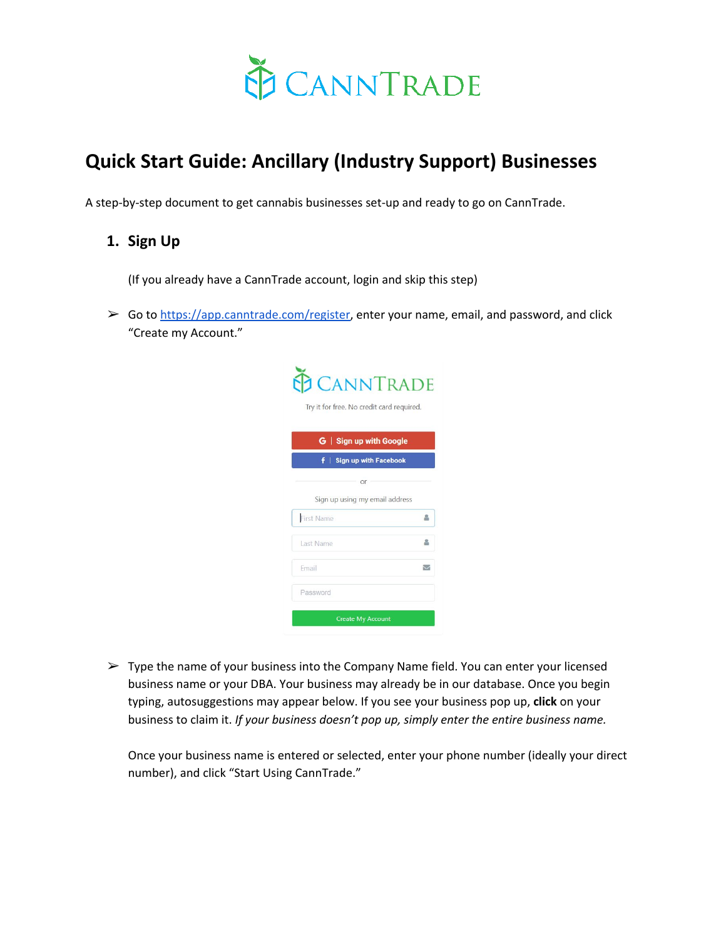

# **Quick Start Guide: Ancillary (Industry Support) Businesses**

A step-by-step document to get cannabis businesses set-up and ready to go on CannTrade.

# **1. Sign Up**

(If you already have a CannTrade account, login and skip this step)

 $\triangleright$  Go to [https://app.canntrade.com/register,](https://app.canntrade.com/register) enter your name, email, and password, and click "Create my Account."

| <b>CANNTRADE</b><br>Try it for free. No credit card required. |                          |
|---------------------------------------------------------------|--------------------------|
| G   Sign up with Google                                       |                          |
| Sign up with Facebook<br>÷.                                   |                          |
| or                                                            |                          |
| Sign up using my email address                                |                          |
| <b>First Name</b>                                             | 2                        |
| Last Name                                                     |                          |
| Email                                                         | $\overline{\phantom{0}}$ |
|                                                               |                          |

 $\triangleright$  Type the name of your business into the Company Name field. You can enter your licensed business name or your DBA. Your business may already be in our database. Once you begin typing, autosuggestions may appear below. If you see your business pop up, **click** on your business to claim it. *If your business doesn't pop up, simply enter the entire business name.* 

Once your business name is entered or selected, enter your phone number (ideally your direct number), and click "Start Using CannTrade."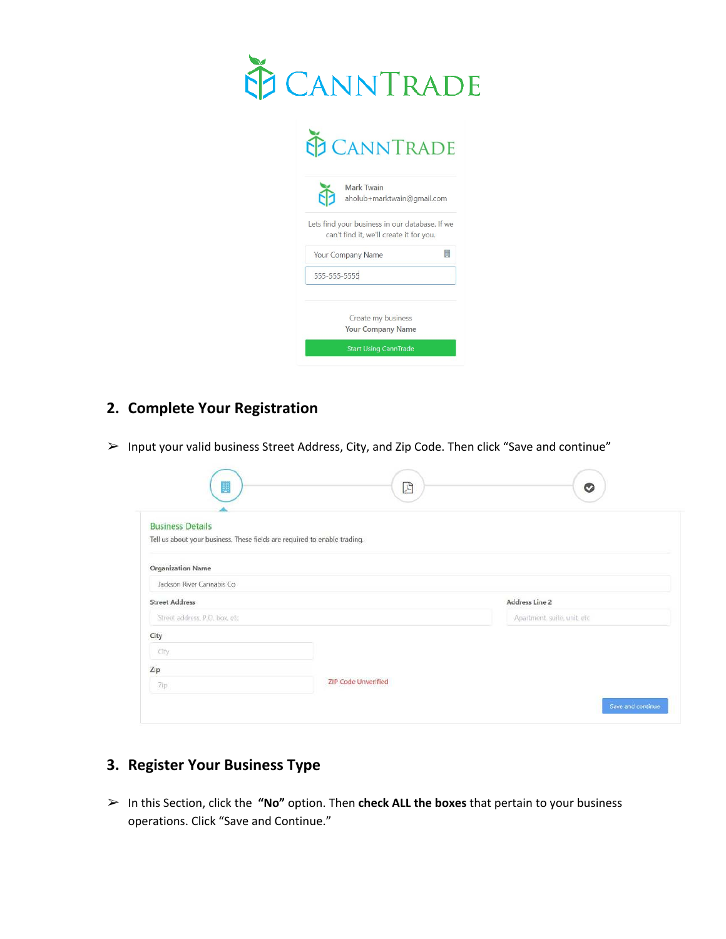

 $\overline{\phantom{a}}$ 

| <b>Mark Twain</b>                       | aholub+marktwain@gmail.com                     |
|-----------------------------------------|------------------------------------------------|
| can't find it, we'll create it for you. | Lets find your business in our database. If we |
| Your Company Name                       | 椰                                              |
| 555-555-5555                            |                                                |
| Create my business                      |                                                |
| <b>Your Company Name</b>                |                                                |

# **2. Complete Your Registration**

➢ Input your valid business Street Address, City, and Zip Code. Then click "Save and continue"

| ş                              | $\boxed{\mathbb{Z}}$                                                      | $\bullet$                    |
|--------------------------------|---------------------------------------------------------------------------|------------------------------|
| <b>Business Details</b>        |                                                                           |                              |
|                                | Tell us about your business. These fields are required to enable trading. |                              |
| <b>Organization Name</b>       |                                                                           |                              |
| Jackson River Cannabis Co      |                                                                           |                              |
| <b>Street Address</b>          |                                                                           | Address Line 2               |
| Street address, P.O. box, etc. |                                                                           | Apartment, suite, unit, etc. |
| City                           |                                                                           |                              |
| City                           |                                                                           |                              |
| Zip                            |                                                                           |                              |
| Zip                            | <b>ZIP Code Unverified</b>                                                |                              |
|                                |                                                                           | Save and continue:           |

# **3. Register Your Business Type**

➢ In this Section, click the **"No"** option. Then **check ALL the boxes** that pertain to your business operations. Click "Save and Continue."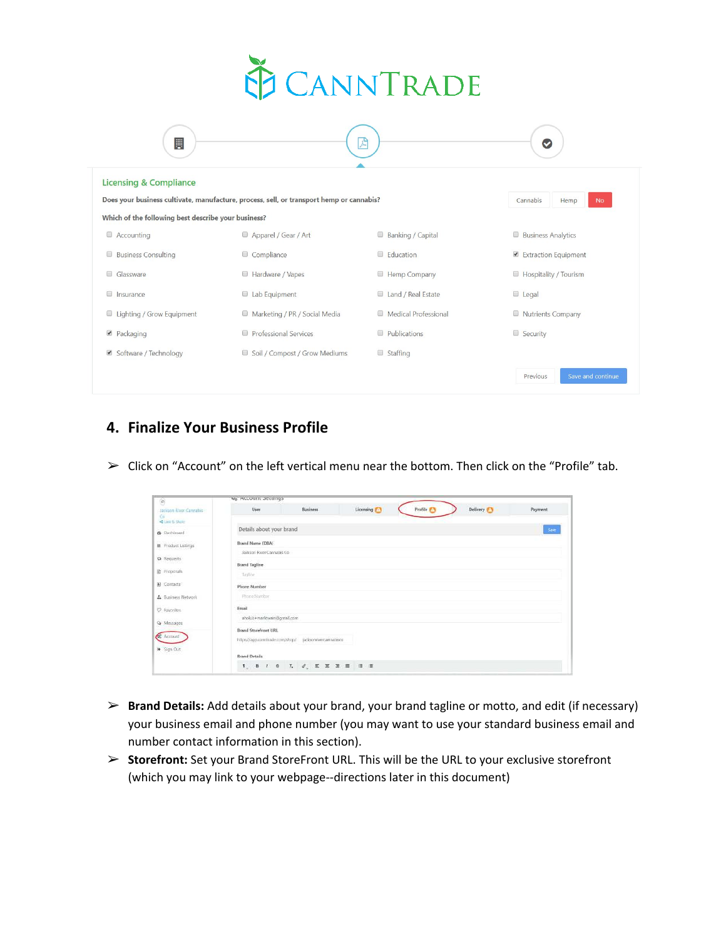

| B                                                                                                                         | 고                             |                      | Ø                             |  |  |  |  |
|---------------------------------------------------------------------------------------------------------------------------|-------------------------------|----------------------|-------------------------------|--|--|--|--|
| <b>Licensing &amp; Compliance</b>                                                                                         |                               |                      |                               |  |  |  |  |
| Does your business cultivate, manufacture, process, sell, or transport hemp or cannabis?<br>Cannabis<br>Hemp<br><b>No</b> |                               |                      |                               |  |  |  |  |
| Which of the following best describe your business?                                                                       |                               |                      |                               |  |  |  |  |
| Accounting                                                                                                                | Apparel / Gear / Art          | Banking / Capital    | <b>Business Analytics</b>     |  |  |  |  |
| <b>Business Consulting</b><br>$\Box$                                                                                      | Compliance                    | <b>Education</b>     | Extraction Equipment          |  |  |  |  |
| Glassware                                                                                                                 | Hardware / Vapes              | Hemp Company         | Hospitality / Tourism         |  |  |  |  |
| <b>Insurance</b>                                                                                                          | Lab Equipment                 | Land / Real Estate   | $\Box$ Legal                  |  |  |  |  |
| Lighting / Grow Equipment                                                                                                 | Marketing / PR / Social Media | Medical Professional | Nutrients Company             |  |  |  |  |
| ● Packaging                                                                                                               | Professional Services         | $\Box$ Publications  | Security                      |  |  |  |  |
| Software / Technology                                                                                                     | Soil / Compost / Grow Mediums | $\Box$ Staffing      |                               |  |  |  |  |
|                                                                                                                           |                               |                      | Save and continue<br>Previous |  |  |  |  |

## **4. Finalize Your Business Profile**

 $\triangleright$  Click on "Account" on the left vertical menu near the bottom. Then click on the "Profile" tab.

| $\left[ 0\right]$                                                                        | we Account Settings                                 |                                                        |           |                  |          |          |
|------------------------------------------------------------------------------------------|-----------------------------------------------------|--------------------------------------------------------|-----------|------------------|----------|----------|
| Jackson Wyer Cannabis<br>Ciri<br><br>S Link & Shake                                      | User.                                               | Business                                               | Licensing | Profile <b>C</b> | Delivery | Payment. |
| <b>B</b> Elashboard                                                                      | Details about your brand                            |                                                        |           |                  |          | Save     |
| Freduct Listings                                                                         | Brand Name (DBA)                                    |                                                        |           |                  |          |          |
| ta flequests                                                                             | Jackson River Cannabis Co.                          |                                                        |           |                  |          |          |
| <b>E</b> Frepoult                                                                        | <b>Brand Tagline</b><br>Taglioe                     |                                                        |           |                  |          |          |
| (A) Contacts                                                                             | Phone Number                                        |                                                        |           |                  |          |          |
| A. Business Network                                                                      | Phone Sturbbor-                                     |                                                        |           |                  |          |          |
| C Favorites                                                                              | Email                                               |                                                        |           |                  |          |          |
| <br><td>ahokib+marktwain@gmaf.com</td> <td></td> <td></td> <td></td> <td></td> <td></td> | ahokib+marktwain@gmaf.com                           |                                                        |           |                  |          |          |
| <b>C</b> Asznard<br>Sign Out                                                             | <b>Brand Storefront URL</b><br><b>Brand Details</b> | https://app.camitrade.com/shop/ jacksonrivercannatisco |           |                  |          |          |
|                                                                                          | $T_1$ <b>B</b> $T_2$ <b>B</b>                       |                                                        |           |                  |          |          |

- ➢ **Brand Details:** Add details about your brand, your brand tagline or motto, and edit (if necessary) your business email and phone number (you may want to use your standard business email and number contact information in this section).
- ➢ **Storefront:** Set your Brand StoreFront URL. This will be the URL to your exclusive storefront (which you may link to your webpage--directions later in this document)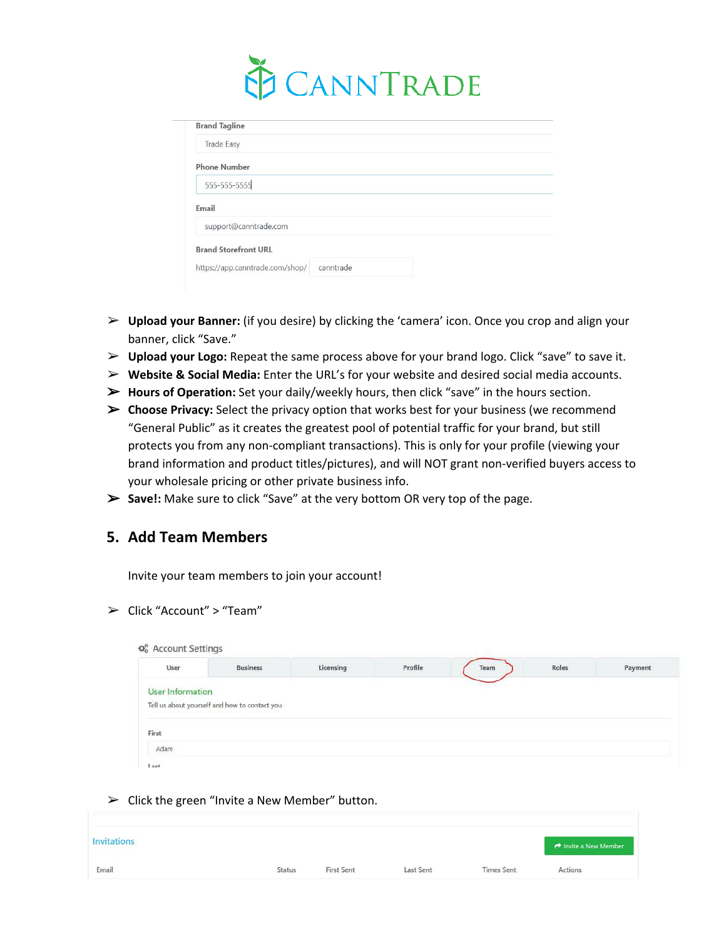

| <b>Brand Tagline</b>            |           |  |
|---------------------------------|-----------|--|
| <b>Trade Easy</b>               |           |  |
| <b>Phone Number</b>             |           |  |
| 555-555-5555                    |           |  |
| Email                           |           |  |
| support@canntrade.com           |           |  |
| <b>Brand Storefront URL</b>     |           |  |
| https://app.canntrade.com/shop/ | canntrade |  |

- ➢ **Upload your Banner:** (if you desire) by clicking the 'camera' icon. Once you crop and align your banner, click "Save."
- ➢ **Upload your Logo:** Repeat the same process above for your brand logo. Click "save" to save it.
- ➢ **Website & Social Media:** Enter the URL's for your website and desired social media accounts.
- ➢ **Hours of Operation:** Set your daily/weekly hours, then click "save" in the hours section.
- ➢ **Choose Privacy:** Select the privacy option that works best for your business (we recommend "General Public" as it creates the greatest pool of potential traffic for your brand, but still protects you from any non-compliant transactions). This is only for your profile (viewing your brand information and product titles/pictures), and will NOT grant non-verified buyers access to your wholesale pricing or other private business info.
- ➢ **Save!:** Make sure to click "Save" at the very bottom OR very top of the page.

### **5. Add Team Members**

Invite your team members to join your account!

➢ Click "Account" > "Team"

| User                    | <b>Business</b>                               | Licensing | Profile | Team | Roles | Payment |
|-------------------------|-----------------------------------------------|-----------|---------|------|-------|---------|
| <b>User Information</b> |                                               |           |         |      |       |         |
|                         | Tell us about yourself and how to contact you |           |         |      |       |         |
|                         |                                               |           |         |      |       |         |
|                         |                                               |           |         |      |       |         |
| First                   |                                               |           |         |      |       |         |

 $\triangleright$  Click the green "Invite a New Member" button.

| <b>Invitations</b> |               |                   |                  |                   | hivite a New Member |
|--------------------|---------------|-------------------|------------------|-------------------|---------------------|
| Email              | <b>Status</b> | <b>First Sent</b> | <b>Last Sent</b> | <b>Times Sent</b> | Actions             |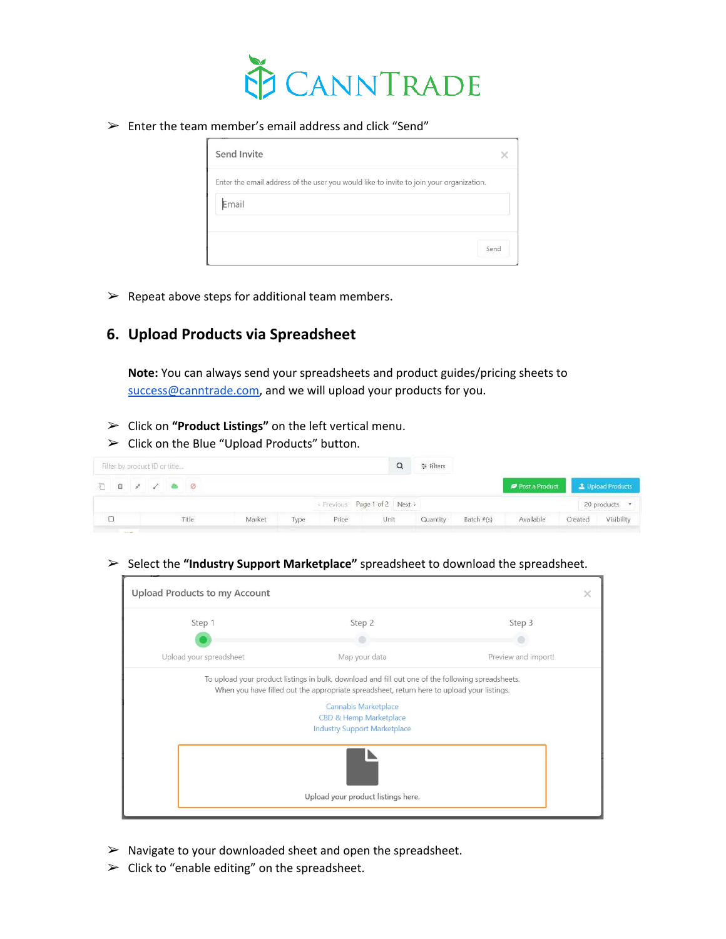

 $\triangleright$  Enter the team member's email address and click "Send"

| Send Invite                                                                             |      |
|-----------------------------------------------------------------------------------------|------|
| Enter the email address of the user you would like to invite to join your organization. |      |
| Email                                                                                   |      |
|                                                                                         |      |
|                                                                                         | Send |

 $\triangleright$  Repeat above steps for additional team members.

# **6. Upload Products via Spreadsheet**

**Note:** You can always send your spreadsheets and product guides/pricing sheets to [success@canntrade.com,](mailto:success@canntrade.com) and we will upload your products for you.

- ➢ Click on **"Product Listings"** on the left vertical menu.
- $\triangleright$  Click on the Blue "Upload Products" button.

| Filter by product ID or title  |       |        |      |       |                             | 三 Filters |            |                                   |         |               |
|--------------------------------|-------|--------|------|-------|-----------------------------|-----------|------------|-----------------------------------|---------|---------------|
|                                |       |        |      |       |                             |           |            | Post a Product La Upload Products |         |               |
|                                |       |        |      |       | Previous Page 1 of 2 Next > |           |            |                                   |         | 20 products • |
|                                | Title | Market | Type | Price | Unit                        | Quantity  | Batch #(s) | Available                         | Created | Visibility    |
| the property of the control of |       |        |      |       |                             |           |            |                                   |         |               |

#### ➢ Select the **"Industry Support Marketplace"** spreadsheet to download the spreadsheet.

|                                    | Upload Products to my Account |                                                                                                                                                                                                                                                                                          |                     |  |  |  |
|------------------------------------|-------------------------------|------------------------------------------------------------------------------------------------------------------------------------------------------------------------------------------------------------------------------------------------------------------------------------------|---------------------|--|--|--|
|                                    | Step 1                        | Step 2                                                                                                                                                                                                                                                                                   | Step 3              |  |  |  |
|                                    | Upload your spreadsheet       | Map your data                                                                                                                                                                                                                                                                            | Preview and import! |  |  |  |
|                                    |                               | To upload your product listings in bulk, download and fill out one of the following spreadsheets.<br>When you have filled out the appropriate spreadsheet, return here to upload your listings.<br>Cannabis Marketplace<br>CBD & Hemp Marketplace<br><b>Industry Support Marketplace</b> |                     |  |  |  |
| Upload your product listings here. |                               |                                                                                                                                                                                                                                                                                          |                     |  |  |  |

- $\triangleright$  Navigate to your downloaded sheet and open the spreadsheet.
- $\triangleright$  Click to "enable editing" on the spreadsheet.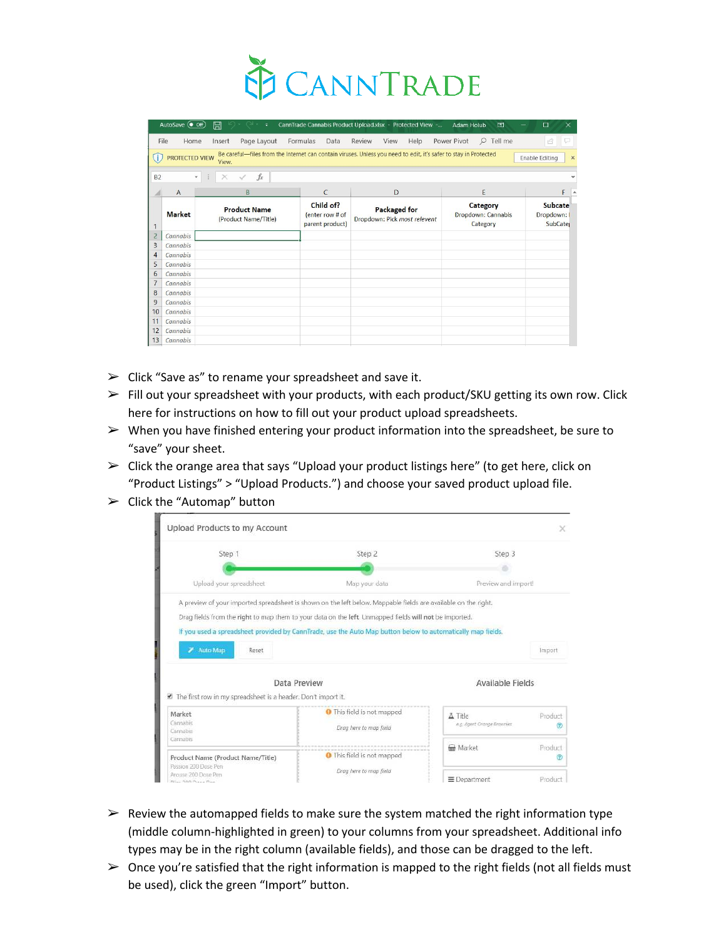

|                | AutoSave (Off) | 日<br>$\ddot{ }$                                |                                                 | CannTrade Cannabis Product Upload.xlsx - Protected View -                                                        | 囨<br><b>Adam Holub</b>                     | $\times$<br>$\Box$                             |
|----------------|----------------|------------------------------------------------|-------------------------------------------------|------------------------------------------------------------------------------------------------------------------|--------------------------------------------|------------------------------------------------|
|                | File<br>Home   | Page Layout<br>Insert                          | Formulas<br>Data                                | Review<br>View<br>Help                                                                                           | Power Pivot<br>$\mathcal{Q}$<br>Tell me    | $\beta$<br>p                                   |
|                | PROTECTED VIEW | View.                                          |                                                 | Be careful-files from the Internet can contain viruses. Unless you need to edit, it's safer to stay in Protected |                                            | <b>Enable Editing</b><br>$\times$              |
| <b>B2</b>      |                | $f_x$<br>$\times$<br>$\checkmark$<br>$\ddot{}$ |                                                 |                                                                                                                  |                                            |                                                |
|                | $\overline{A}$ | B                                              | $\mathsf{C}$                                    | D                                                                                                                | E                                          | F                                              |
| $\mathbf{1}$   | <b>Market</b>  | <b>Product Name</b><br>(Product Name/Title)    | Child of?<br>(enter row # of<br>parent product) | <b>Packaged for</b><br>Dropdown: Pick most relevent                                                              | Category<br>Dropdown: Cannabis<br>Category | <b>Subcate</b><br>Dropdown:<br><b>SubCater</b> |
| $\overline{2}$ | Cannabis       |                                                |                                                 |                                                                                                                  |                                            |                                                |
| 3              | Cannabis       |                                                |                                                 |                                                                                                                  |                                            |                                                |
| $\overline{4}$ | Cannabis       |                                                |                                                 |                                                                                                                  |                                            |                                                |
| 5              | Cannabis       |                                                |                                                 |                                                                                                                  |                                            |                                                |
| 6              | Cannabis       |                                                |                                                 |                                                                                                                  |                                            |                                                |
| $\overline{7}$ | Cannabis       |                                                |                                                 |                                                                                                                  |                                            |                                                |
| 8              | Cannabis       |                                                |                                                 |                                                                                                                  |                                            |                                                |
| 9              | Cannabis       |                                                |                                                 |                                                                                                                  |                                            |                                                |
| 10             | Cannabis       |                                                |                                                 |                                                                                                                  |                                            |                                                |
| 11             | Cannabis       |                                                |                                                 |                                                                                                                  |                                            |                                                |
| 12             | Cannabis       |                                                |                                                 |                                                                                                                  |                                            |                                                |
| 13             | Cannabis       |                                                |                                                 |                                                                                                                  |                                            |                                                |

- $\triangleright$  Click "Save as" to rename your spreadsheet and save it.
- ➢ Fill out your spreadsheet with your products, with each product/SKU getting its own row. Click here for instructions on how to fill out your product upload spreadsheets.
- $\triangleright$  When you have finished entering your product information into the spreadsheet, be sure to "save" your sheet.
- $\triangleright$  Click the orange area that says "Upload your product listings here" (to get here, click on "Product Listings" > "Upload Products.") and choose your saved product upload file.
- $\blacktriangleright$  Click the "Automap" button



- $\triangleright$  Review the automapped fields to make sure the system matched the right information type (middle column-highlighted in green) to your columns from your spreadsheet. Additional info types may be in the right column (available fields), and those can be dragged to the left.
- $\triangleright$  Once you're satisfied that the right information is mapped to the right fields (not all fields must be used), click the green "Import" button.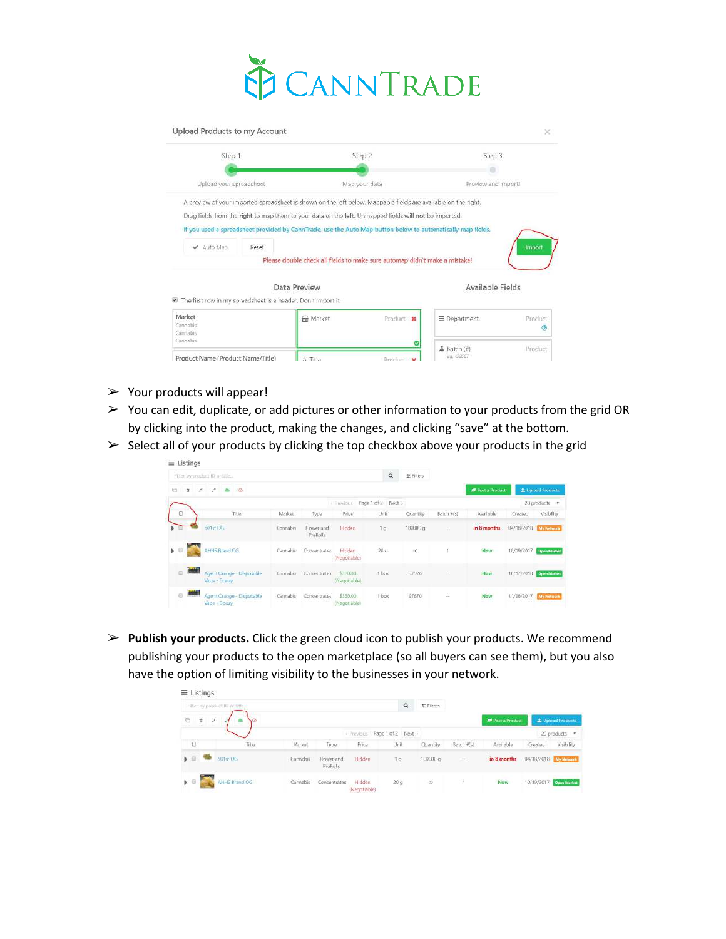

| Upload Products to my Account                                                                                  |                                                                            |               |                     |                     |  |  |
|----------------------------------------------------------------------------------------------------------------|----------------------------------------------------------------------------|---------------|---------------------|---------------------|--|--|
| Step 1                                                                                                         |                                                                            | Step 2        |                     | Step 3              |  |  |
|                                                                                                                |                                                                            |               |                     |                     |  |  |
| Upload your spreadsheet                                                                                        |                                                                            | Map your data | Preview and import! |                     |  |  |
| A preview of your imported spreadsheet is shown on the left below. Mappable fields are available on the right. |                                                                            |               |                     |                     |  |  |
| Drag fields from the right to map them to your data on the left. Unmapped fields will not be imported.         |                                                                            |               |                     |                     |  |  |
| If you used a spreadsheet provided by CannTrade, use the Auto Map button below to automatically map fields.    |                                                                            |               |                     |                     |  |  |
| Auto Map<br>Reset<br>✓                                                                                         |                                                                            |               |                     | Import              |  |  |
|                                                                                                                | Please double check all fields to make sure automap didn't make a mistake! |               |                     |                     |  |  |
| ■ The first row in my spreadsheet is a header. Don't import it.                                                | Data Preview                                                               |               | Available Fields    |                     |  |  |
| Market<br>Cannabis<br>Cannabis                                                                                 | m Market                                                                   | Product x     | E Department        | <b>Product</b><br>Ø |  |  |
| Cannabis                                                                                                       |                                                                            |               | △ Batch (#)         | Product             |  |  |
| Product Name (Product Name/Title)                                                                              | A Title                                                                    | Printfort M   | e.u. 432567         |                     |  |  |

- $\triangleright$  Your products will appear!
- ➢ You can edit, duplicate, or add pictures or other information to your products from the grid OR by clicking into the product, making the changes, and clicking "save" at the bottom.
- $\triangleright$  Select all of your products by clicking the top checkbox above your products in the grid

|               | $\equiv$ Listings                         |           |                               |                          |                    |             |                          |                         |                      |                          |
|---------------|-------------------------------------------|-----------|-------------------------------|--------------------------|--------------------|-------------|--------------------------|-------------------------|----------------------|--------------------------|
|               | Filter by product ID or title             |           |                               |                          | $\alpha$           | 左 Filters   |                          |                         |                      |                          |
| 后             | 實<br>$\triangle$ $\heartsuit$<br>×<br>×   |           |                               |                          |                    |             |                          | <b>D</b> Post a Product |                      | <b>L</b> Upload Products |
|               |                                           |           |                               | - Previous               | Page 1 of 2 Next > |             |                          |                         |                      | 20 products *            |
| O             | Title                                     | Market    | Type                          | Price                    | Unit               | Quantity    | Batch #(s)               | Available               | Created              | Visibility               |
|               | 501st OG                                  | Cannabis: | Flower and<br><b>PreRolls</b> | Hidden                   | Tg.                | 100000 g    | S.                       | in 8 months             | 04/18/2018           | <b>My Network</b>        |
| $\rightarrow$ | AHHS Brand OG                             | Cannabis  | Concentrates                  | Hidden<br>(Negotiable)   | 20.9               | DD.         |                          | Now                     | 10/19/2017           | <b>Open Market</b>       |
| $\Box$        | Agent Orange - Disposable<br>Vape - Doozy | Cannabis  | Concentrates                  | \$330.00<br>(Negotiable) | 1 box              | 97976       | $\overline{\phantom{a}}$ | <b>Now</b>              | 10/17/2018           | <b>Open Market</b>       |
| $\odot$       | Agent Orange - Disposable<br>Vape - Doozy | Cannabis  | Concentrates                  | \$330.00<br>(Negotiable) | 1 box<br>1992      | 97870<br>-- | ≊                        | Now                     | 11/28/2017 Mr Monday |                          |

➢ **Publish your products.** Click the green cloud icon to publish your products. We recommend publishing your products to the open marketplace (so all buyers can see them), but you also have the option of limiting visibility to the businesses in your network.

|                                | Filter by product ID or fitte |          |                               |                               | $\alpha$ | 至 Filters |            |                       |                        |                   |
|--------------------------------|-------------------------------|----------|-------------------------------|-------------------------------|----------|-----------|------------|-----------------------|------------------------|-------------------|
| ä<br>G                         | x<br>0                        |          |                               |                               |          |           |            | <b>Post a Product</b> |                        | L Upload Products |
|                                |                               |          |                               | - Previous Page 1 of 2 Next - |          |           |            |                       |                        | 20 products *     |
| $\Box$                         | Title                         | Market   | Type                          | Price                         | Unit     | Quantity  | Batch #(s) | Available             | Created                | Visibility        |
| $\mathbf{B}$                   | 501st OG:                     | Cannabis | Flower and<br><b>PreRolls</b> | Hidden                        | 1.9      | 100000 g  | $\sim$     | in 8 months           | 04/18/2018 My Network  |                   |
| $\blacktriangleright$ $\Box$ . | AHHS Brand OG                 | Cannabis | Concentrates                  | Hidden                        | 20q      | $\infty$  | - 7        | Now                   | 10/19/2017 Open Matket |                   |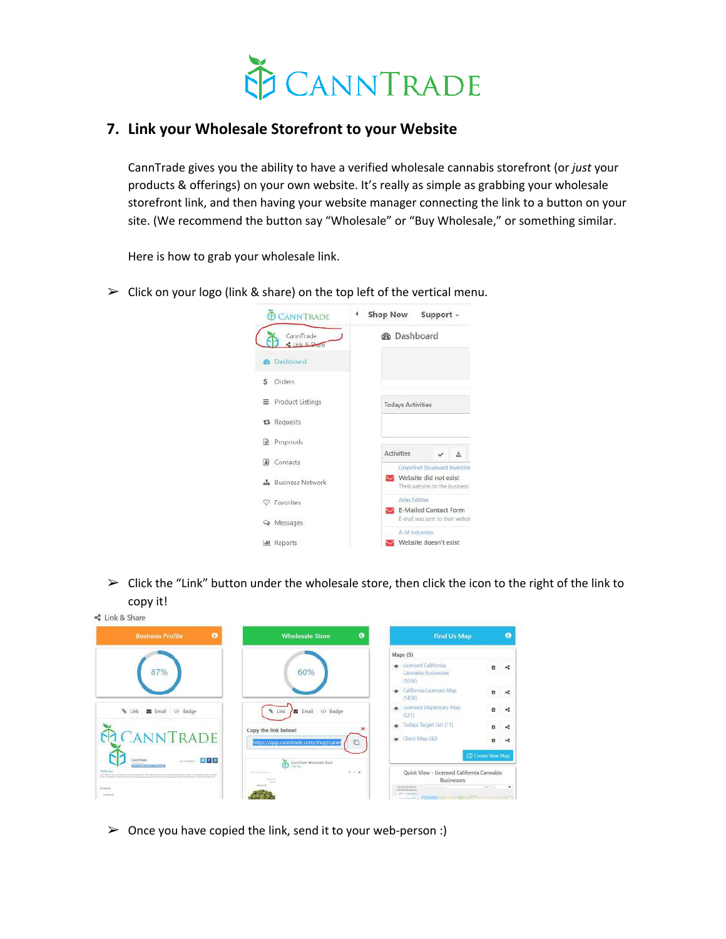

### **7. Link your Wholesale Storefront to your Website**

CannTrade gives you the ability to have a verified wholesale cannabis storefront (or *just* your products & offerings) on your own website. It's really as simple as grabbing your wholesale storefront link, and then having your website manager connecting the link to a button on your site. (We recommend the button say "Wholesale" or "Buy Wholesale," or something similar.

Here is how to grab your wholesale link.

 $\triangleright$  Click on your logo (link & share) on the top left of the vertical menu.



 $\triangleright$  Click the "Link" button under the wholesale store, then click the icon to the right of the link to copy it!



 $\triangleright$  Once you have copied the link, send it to your web-person :)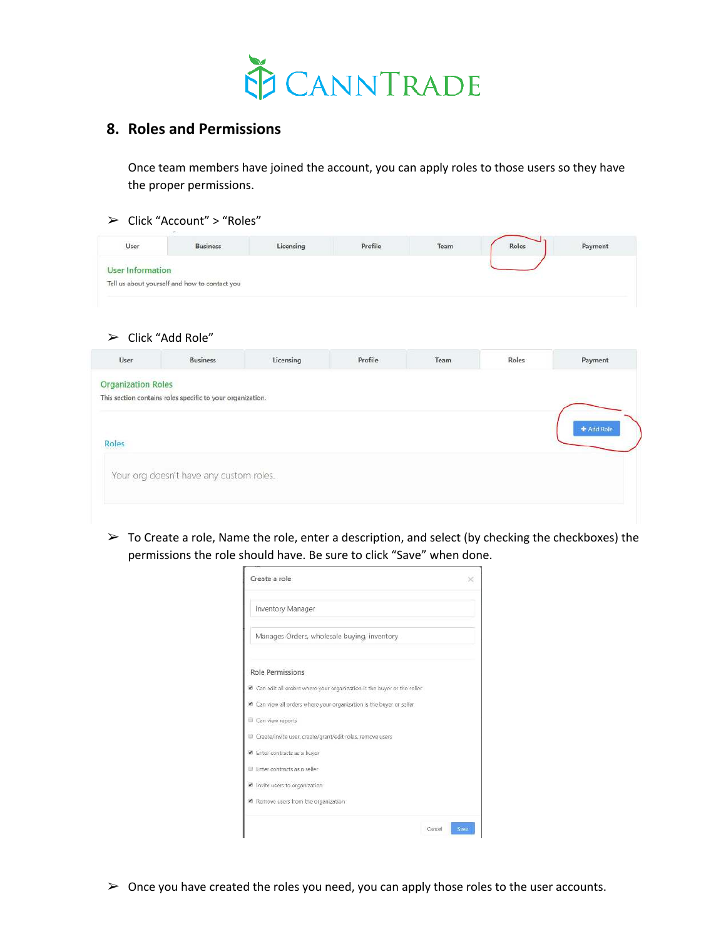

### **8. Roles and Permissions**

Once team members have joined the account, you can apply roles to those users so they have the proper permissions.

#### ➢ Click "Account" > "Roles"

| User             | $-$<br><b>Business</b>                        | Licensing | Profile | $\begin{array}{c} \text{Team} \end{array}$ | Roles | Payment |
|------------------|-----------------------------------------------|-----------|---------|--------------------------------------------|-------|---------|
| User Information |                                               |           |         |                                            |       |         |
|                  | Tell us about yourself and how to contact you |           |         |                                            |       |         |

 $\triangleright$  Click "Add Role"

| User                      | <b>Business</b>                                            | Licensing | Profile | Team | Roles | Payment    |
|---------------------------|------------------------------------------------------------|-----------|---------|------|-------|------------|
| <b>Organization Roles</b> |                                                            |           |         |      |       |            |
|                           | This section contains roles specific to your organization. |           |         |      |       |            |
|                           |                                                            |           |         |      |       | + Add Role |
| Roles                     |                                                            |           |         |      |       |            |
|                           | Your org doesn't have any custom roles.                    |           |         |      |       |            |
|                           |                                                            |           |         |      |       |            |
|                           |                                                            |           |         |      |       |            |

 $\triangleright$  To Create a role, Name the role, enter a description, and select (by checking the checkboxes) the permissions the role should have. Be sure to click "Save" when done.

| Create a role                                                            |  |
|--------------------------------------------------------------------------|--|
| Inventory Manager                                                        |  |
| Manages Orders, wholesale buying, inventory                              |  |
| <b>Role Permissions</b>                                                  |  |
| 6 Can edit all orders where your organization is the buyer or the seller |  |
| Can view all orders where your organization is the buyer or seller       |  |
| Can view reports                                                         |  |
| Create/invite user, create/grant/edit roles, remove users                |  |
| <sup>60</sup> Enter contracts as a buyer                                 |  |
| El Enter contracts as a seller                                           |  |
| Invite users to organization                                             |  |
| R Remove users from the organization                                     |  |

 $\triangleright$  Once you have created the roles you need, you can apply those roles to the user accounts.